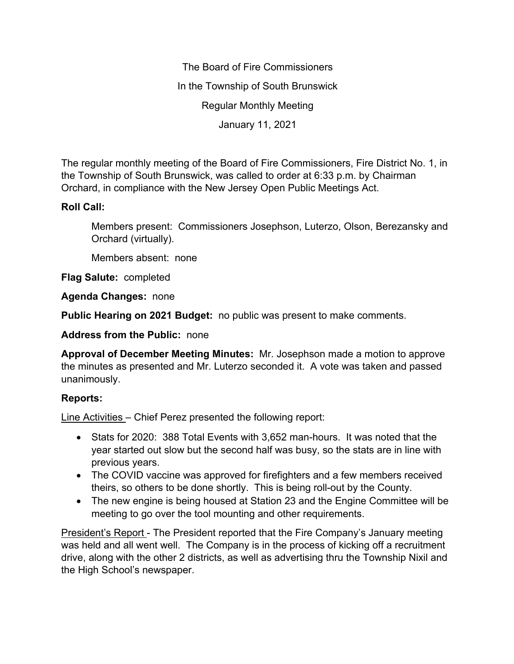The Board of Fire Commissioners In the Township of South Brunswick Regular Monthly Meeting January 11, 2021

The regular monthly meeting of the Board of Fire Commissioners, Fire District No. 1, in the Township of South Brunswick, was called to order at 6:33 p.m. by Chairman Orchard, in compliance with the New Jersey Open Public Meetings Act.

# **Roll Call:**

Members present: Commissioners Josephson, Luterzo, Olson, Berezansky and Orchard (virtually).

Members absent: none

**Flag Salute:** completed

**Agenda Changes:** none

**Public Hearing on 2021 Budget:** no public was present to make comments.

**Address from the Public:** none

**Approval of December Meeting Minutes:** Mr. Josephson made a motion to approve the minutes as presented and Mr. Luterzo seconded it. A vote was taken and passed unanimously.

# **Reports:**

Line Activities – Chief Perez presented the following report:

- Stats for 2020: 388 Total Events with 3,652 man-hours. It was noted that the year started out slow but the second half was busy, so the stats are in line with previous years.
- The COVID vaccine was approved for firefighters and a few members received theirs, so others to be done shortly. This is being roll-out by the County.
- The new engine is being housed at Station 23 and the Engine Committee will be meeting to go over the tool mounting and other requirements.

President's Report - The President reported that the Fire Company's January meeting was held and all went well. The Company is in the process of kicking off a recruitment drive, along with the other 2 districts, as well as advertising thru the Township Nixil and the High School's newspaper.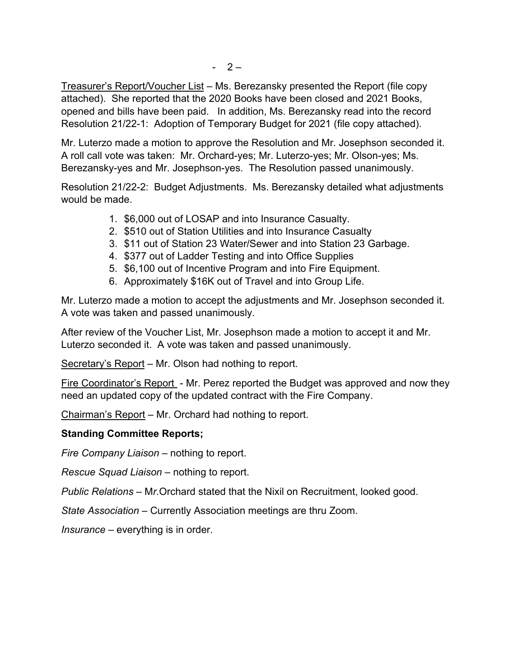Treasurer's Report/Voucher List – Ms. Berezansky presented the Report (file copy attached). She reported that the 2020 Books have been closed and 2021 Books, opened and bills have been paid. In addition, Ms. Berezansky read into the record Resolution 21/22-1: Adoption of Temporary Budget for 2021 (file copy attached).

Mr. Luterzo made a motion to approve the Resolution and Mr. Josephson seconded it. A roll call vote was taken: Mr. Orchard-yes; Mr. Luterzo-yes; Mr. Olson-yes; Ms. Berezansky-yes and Mr. Josephson-yes. The Resolution passed unanimously.

Resolution 21/22-2: Budget Adjustments. Ms. Berezansky detailed what adjustments would be made.

- 1. \$6,000 out of LOSAP and into Insurance Casualty.
- 2. \$510 out of Station Utilities and into Insurance Casualty
- 3. \$11 out of Station 23 Water/Sewer and into Station 23 Garbage.
- 4. \$377 out of Ladder Testing and into Office Supplies
- 5. \$6,100 out of Incentive Program and into Fire Equipment.
- 6. Approximately \$16K out of Travel and into Group Life.

Mr. Luterzo made a motion to accept the adjustments and Mr. Josephson seconded it. A vote was taken and passed unanimously.

After review of the Voucher List, Mr. Josephson made a motion to accept it and Mr. Luterzo seconded it. A vote was taken and passed unanimously.

Secretary's Report – Mr. Olson had nothing to report.

Fire Coordinator's Report - Mr. Perez reported the Budget was approved and now they need an updated copy of the updated contract with the Fire Company.

Chairman's Report – Mr. Orchard had nothing to report.

### **Standing Committee Reports;**

*Fire Company Liaison –* nothing to report.

*Rescue Squad Liaison –* nothing to report.

*Public Relations –* M*r.*Orchard stated that the Nixil on Recruitment, looked good.

*State Association –* Currently Association meetings are thru Zoom.

*Insurance –* everything is in order.